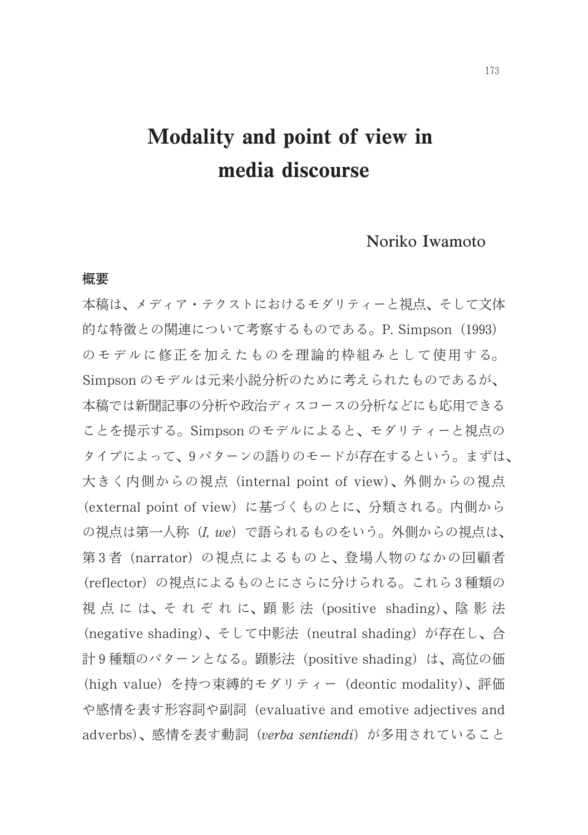# Modality and point of view in media discourse

# Noriko Iwamoto

# 概要

本稿は、メディア・テクストにおけるモダリティーと視点、そして文体 的な特徴との関連について考察するものである。P. Simpson (1993) のモデルに修正を加えたものを理論的枠組みとして使用する。 Simpson のモデルは元来小説分析のために考えられたものであるが、 本稿では新聞記事の分析や政治ディスコースの分析などにも応用できる ことを提示する。Simpson のモデルによると、モダリティーと視点の タイプによって、9パターンの語りのモードが存在するという。まずは、 大きく内側からの視点 (internal point of view)、外側からの視点 (external point of view) に基づくものとに、分類される。内側から の視点は第一人称 (I, we) で語られるものをいう。外側からの視点は、 第3者 (narrator) の視点によるものと、登場人物のなかの回顧者 (reflector)の視点によるものとにさらに分けられる。これら3種類の 視点には、それぞれに、顕影法 (positive shading)、陰影法 (negative shading)、そして中影法 (neutral shading) が存在し、合 計9種類のパターンとなる。顕影法 (positive shading) は、高位の価 (high value) を持つ束縛的モダリティー (deontic modality)、評価 や感情を表す形容詞や副詞 (evaluative and emotive adjectives and adverbs)、感情を表す動詞 (verba sentiendi) が多用されていること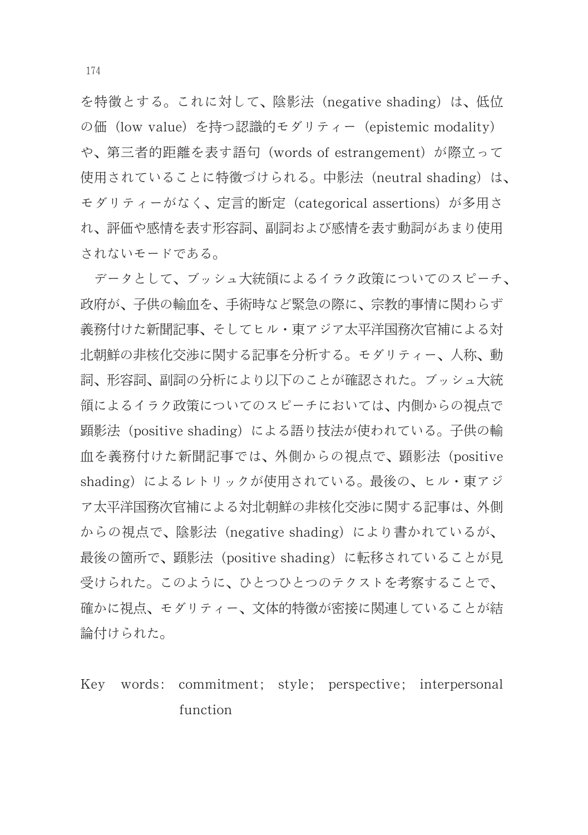を特徴とする。これに対して、陰影法 (negative shading) は、低位 の価 (low value) を持つ認識的モダリティー (epistemic modality) や、第三者的距離を表す語句 (words of estrangement) が際立って 使用されていることに特徴づけられる。中影法 (neutral shading) は、 モダリティーがなく、定言的断定 (categorical assertions) が多用さ れ、評価や感情を表す形容詞、副詞および感情を表す動詞があまり使用 されないモードである。

データとして、ブッシュ大統領によるイラク政策についてのスピーチ、 政府が、子供の輸血を、手術時など緊急の際に、宗教的事情に関わらず 義務付けた新聞記事、そしてヒル・東アジア太平洋国務次官補による対 北朝鮮の非核化交渉に関する記事を分析する。モダリティー、人称、動 詞、形容詞、副詞の分析により以下のことが確認された。ブッシュ大統 領によるイラク政策についてのスピーチにおいては、内側からの視点で 顕影法 (positive shading) による語り技法が使われている。子供の輸 血を義務付けた新聞記事では、外側からの視点で、顕影法 (positive shading)によるレトリックが使用されている。最後の、ヒル・東アジ ア太平洋国務次官補による対北朝鮮の非核化交渉に関する記事は、外側 からの視点で、陰影法 (negative shading) により書かれているが、 最後の箇所で、顕影法 (positive shading) に転移されていることが見 受けられた。このように、ひとつひとつのテクストを考察することで、 確かに視点、モダリティー、文体的特徴が密接に関連していることが結 論付けられた。

Key words: commitment; style; perspective; interpersonal function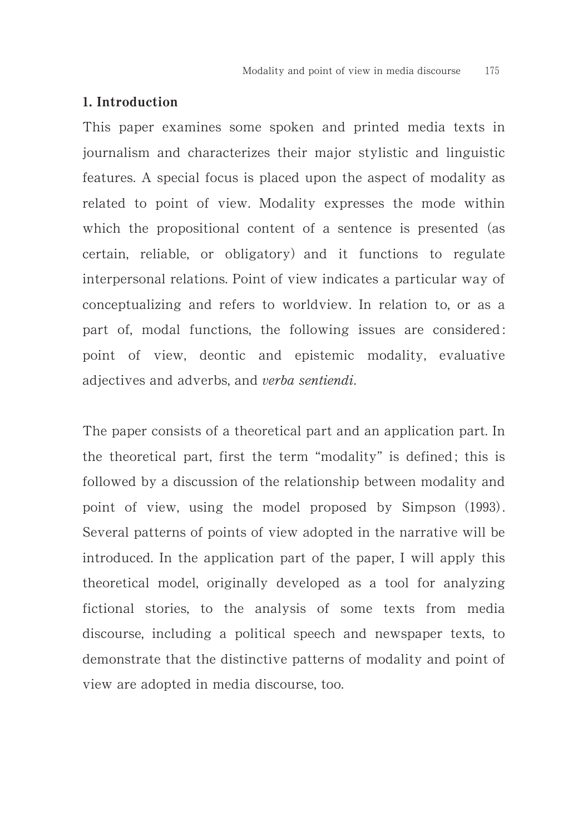# 1. Introduction

This paper examines some spoken and printed media texts in journalism and characterizes their major stylistic and linguistic features. A special focus is placed upon the aspect of modality as related to point of view. Modality expresses the mode within which the propositional content of a sentence is presented (as certain, reliable, or obligatory) and it functions to regulate interpersonal relations. Point of view indicates a particular way of conceptualizing and refers to worldview. In relation to, or as a part of, modal functions, the following issues are considered : point of view, deontic and epistemic modality, evaluative adjectives and adverbs, and verba sentiendi.

The paper consists of a theoretical part and an application part. In the theoretical part, first the term "modality" is defined ; this is followed by a discussion of the relationship between modality and point of view, using the model proposed by Simpson (1993). Several patterns of points of view adopted in the narrative will be introduced. In the application part of the paper, I will apply this theoretical model, originally developed as a tool for analyzing fictional stories, to the analysis of some texts from media discourse, including a political speech and newspaper texts, to demonstrate that the distinctive patterns of modality and point of view are adopted in media discourse, too.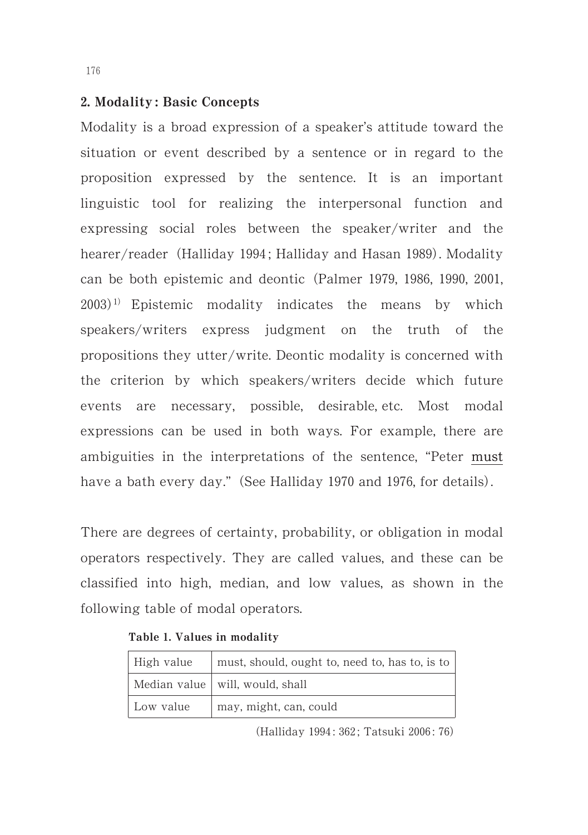### ,. Modality : Basic Concepts

Modality is a broad expression of a speaker's attitude toward the situation or event described by a sentence or in regard to the proposition expressed by the sentence. It is an important linguistic tool for realizing the interpersonal function and expressing social roles between the speaker/writer and the hearer/reader (Halliday 1994; Halliday and Hasan 1989). Modality can be both epistemic and deontic (Palmer 1979, 1986, 1990, 2001,  $(2003)^{1}$  Epistemic modality indicates the means by which speakers/writers express judgment on the truth of the propositions they utter/write. Deontic modality is concerned with the criterion by which speakers/writers decide which future events are necessary, possible, desirable, etc. Most modal expressions can be used in both ways. For example, there are ambiguities in the interpretations of the sentence, "Peter must have a bath every day." (See Halliday 1970 and 1976, for details).

There are degrees of certainty, probability, or obligation in modal operators respectively. They are called values, and these can be classified into high, median, and low values, as shown in the following table of modal operators.

| High value | must, should, ought to, need to, has to, is to |  |
|------------|------------------------------------------------|--|
|            | Median value   will, would, shall              |  |
| Low value  | may, might, can, could                         |  |

Table 1. Values in modality

(Halliday 1994: 362; Tatsuki 2006: 76)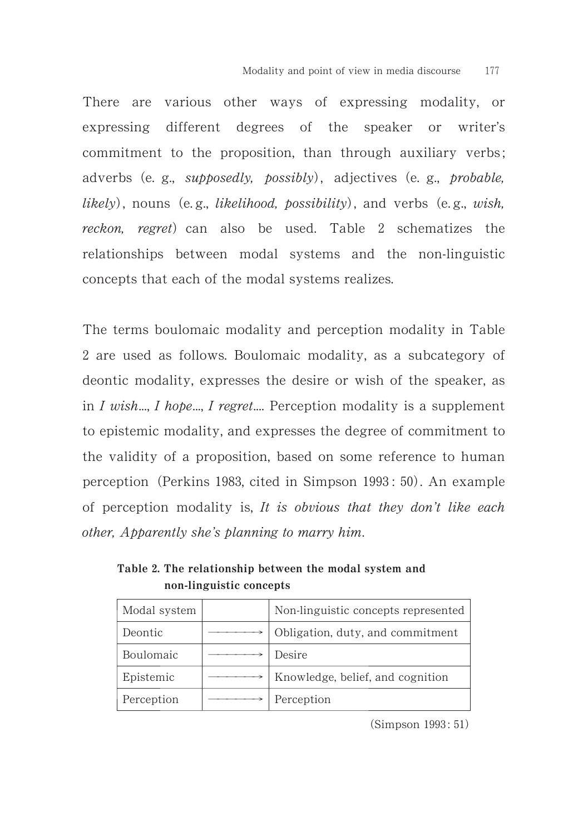There are various other ways of expressing modality, or expressing different degrees of the speaker or writer's commitment to the proposition, than through auxiliary verbs ; adverbs (e. g., *supposedly, possibly*), adjectives (e. g., *probable*, likely), nouns (e.g., likelihood, possibility), and verbs (e.g., wish, reckon, regret) can also be used. Table 2 schematizes the relationships between modal systems and the non-linguistic concepts that each of the modal systems realizes.

The terms boulomaic modality and perception modality in Table 2 are used as follows. Boulomaic modality, as a subcategory of deontic modality, expresses the desire or wish of the speaker, as in  $I$  wish...,  $I$  hope...,  $I$  regret.... Perception modality is a supplement to epistemic modality, and expresses the degree of commitment to the validity of a proposition, based on some reference to human perception (Perkins 1983, cited in Simpson 1993: 50). An example of perception modality is, It is obvious that they don't like each other, Apparently she's planning to marry him.

| Modal system | Non-linguistic concepts represented |
|--------------|-------------------------------------|
| Deontic      | Obligation, duty, and commitment    |
| Boulomaic    | Desire                              |
| Epistemic    | Knowledge, belief, and cognition    |
| Perception   | Perception                          |

Table 2. The relationship between the modal system and non-linguistic concepts

(Simpson 1993: 51)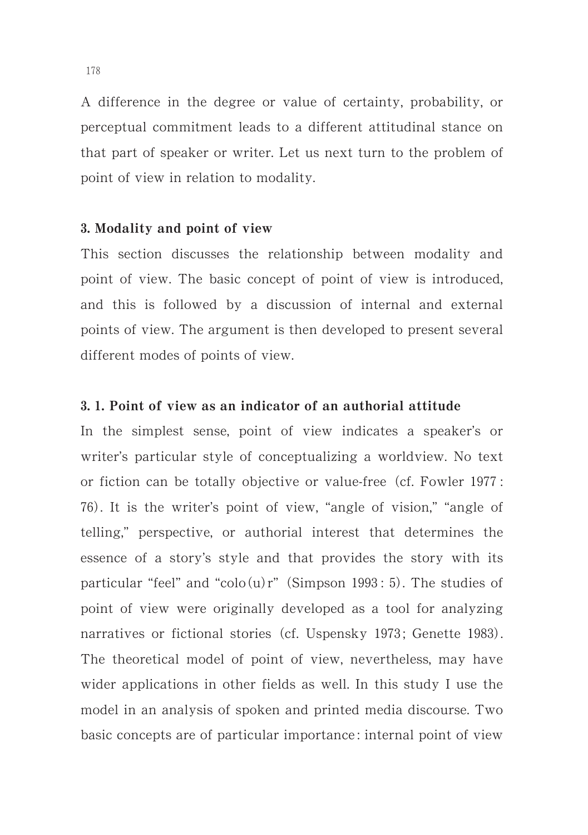A difference in the degree or value of certainty, probability, or perceptual commitment leads to a different attitudinal stance on that part of speaker or writer. Let us next turn to the problem of point of view in relation to modality.

#### 3. Modality and point of view

This section discusses the relationship between modality and point of view. The basic concept of point of view is introduced, and this is followed by a discussion of internal and external points of view. The argument is then developed to present several different modes of points of view.

# 3. 1. Point of view as an indicator of an authorial attitude

In the simplest sense, point of view indicates a speaker's or writer's particular style of conceptualizing a worldview. No text or fiction can be totally objective or value-free (cf. Fowler 1977: 10. It is the writer's point of view, "angle of vision," "angle of telling," perspective, or authorial interest that determines the essence of a story's style and that provides the story with its particular "feel" and "colo $(u)$ r" (Simpson 1993: 5). The studies of point of view were originally developed as a tool for analyzing narratives or fictional stories (cf. Uspensky 1973; Genette 1983). The theoretical model of point of view, nevertheless, may have wider applications in other fields as well. In this study I use the model in an analysis of spoken and printed media discourse. Two basic concepts are of particular importance : internal point of view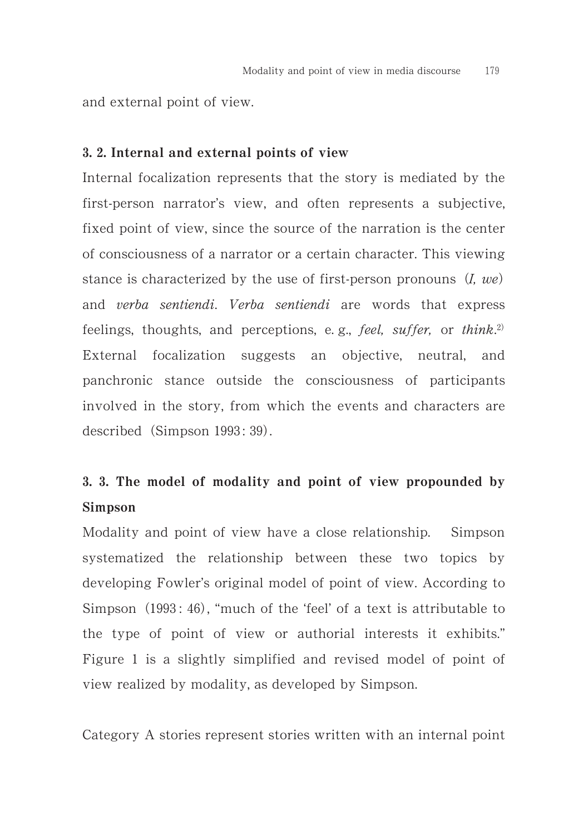and external point of view.

#### 3. 2. Internal and external points of view

Internal focalization represents that the story is mediated by the first-person narrator's view, and often represents a subjective, fixed point of view, since the source of the narration is the center of consciousness of a narrator or a certain character. This viewing stance is characterized by the use of first-person pronouns  $(I, we)$ and verba sentiendi. Verba sentiendi are words that express feelings, thoughts, and perceptions, e.g., feel, suffer, or think.<sup>2)</sup> External focalization suggests an objective, neutral, and panchronic stance outside the consciousness of participants involved in the story, from which the events and characters are described (Simpson 1993: 39).

# 3. 3. The model of modality and point of view propounded by Simpson

Modality and point of view have a close relationship. Simpson systematized the relationship between these two topics by developing Fowler's original model of point of view. According to Simpson (1993: 46), "much of the 'feel' of a text is attributable to the type of point of view or authorial interests it exhibits." Figure 1 is a slightly simplified and revised model of point of view realized by modality, as developed by Simpson.

Category A stories represent stories written with an internal point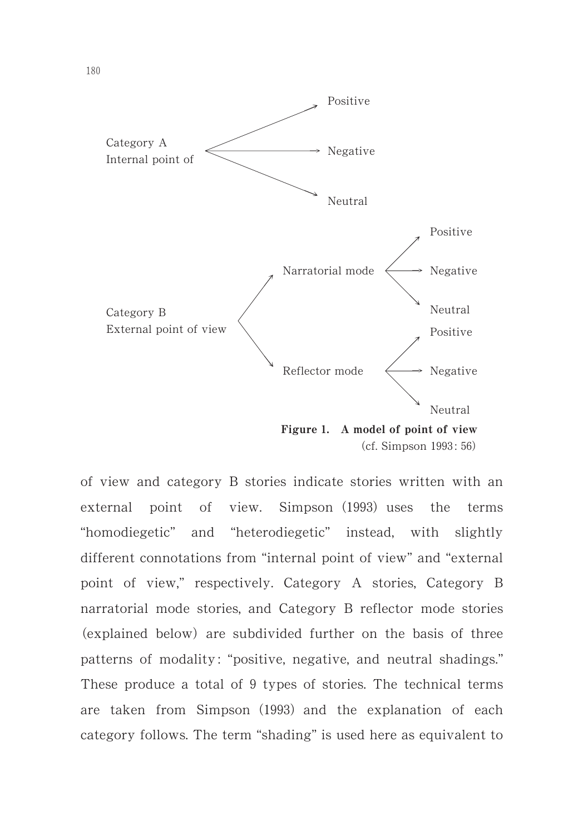

(cf. Simpson 1993: 56)

of view and category B stories indicate stories written with an external point of view. Simpson (1993) uses the terms "homodiegetic" and "heterodiegetic" instead, with slightly different connotations from "internal point of view" and "external point of view," respectively. Category A stories, Category B narratorial mode stories, and Category B reflector mode stories (explained below) are subdivided further on the basis of three patterns of modality : "positive, negative, and neutral shadings." These produce a total of 9 types of stories. The technical terms are taken from Simpson (1993) and the explanation of each category follows. The term "shading" is used here as equivalent to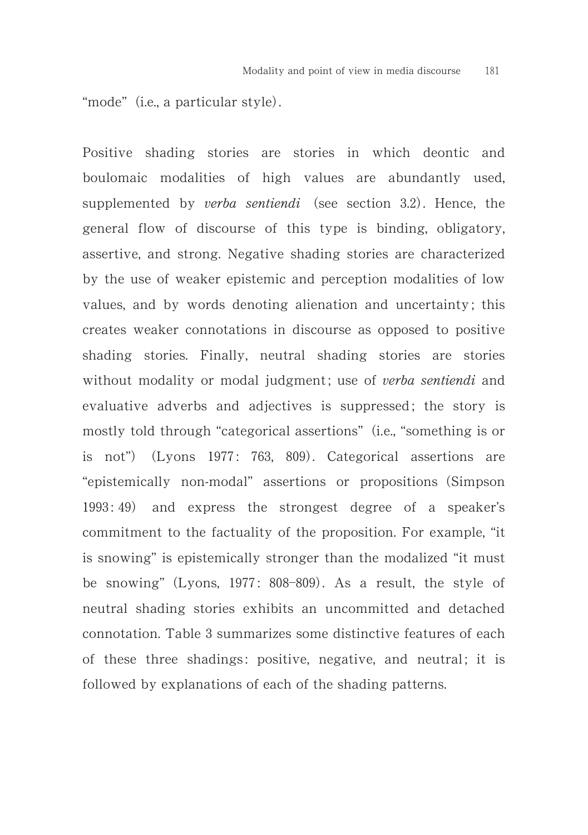"mode" (i.e., a particular style).

Positive shading stories are stories in which deontic and boulomaic modalities of high values are abundantly used, supplemented by verba sentiendi (see section 3.2). Hence, the general flow of discourse of this type is binding, obligatory, assertive, and strong. Negative shading stories are characterized by the use of weaker epistemic and perception modalities of low values, and by words denoting alienation and uncertainty; this creates weaker connotations in discourse as opposed to positive shading stories. Finally, neutral shading stories are stories without modality or modal judgment; use of verba sentiendi and evaluative adverbs and adjectives is suppressed; the story is mostly told through "categorical assertions" (i.e., "something is or is not") (Lyons 1977: 763, 809). Categorical assertions are "epistemically non-modal" assertions or propositions (Simpson 1993: 49) and express the strongest degree of a speaker's commitment to the factuality of the proposition. For example, "it is snowing" is epistemically stronger than the modalized "it must be snowing" (Lyons, 1977: 808-809). As a result, the style of neutral shading stories exhibits an uncommitted and detached connotation. Table 3 summarizes some distinctive features of each of these three shadings: positive, negative, and neutral; it is followed by explanations of each of the shading patterns.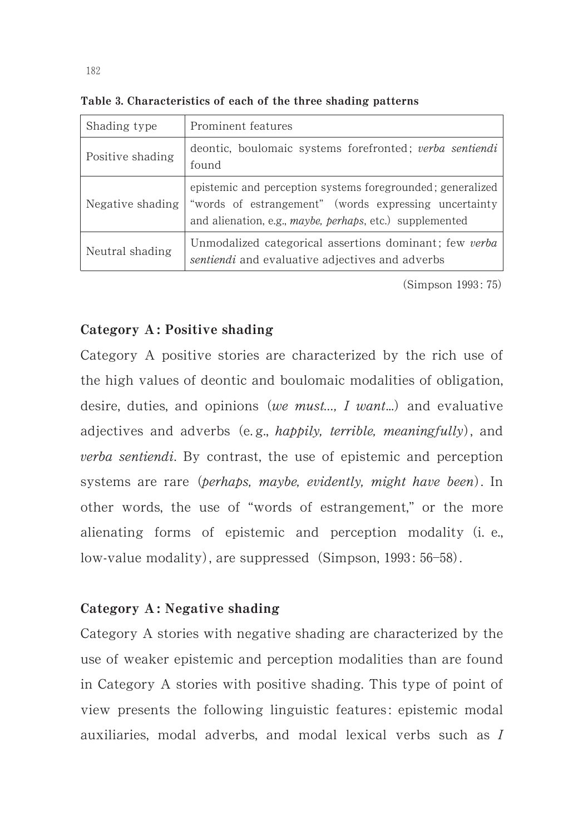| Shading type     | Prominent features                                                                                                                                                                              |  |
|------------------|-------------------------------------------------------------------------------------------------------------------------------------------------------------------------------------------------|--|
| Positive shading | deontic, boulomaic systems forefronted; verba sentiendi<br>found                                                                                                                                |  |
| Negative shading | epistemic and perception systems foregrounded; generalized<br>"words of estrangement" (words expressing uncertainty<br>and alienation, e.g., <i>maybe</i> , <i>perhaps</i> , etc.) supplemented |  |
| Neutral shading  | Unmodalized categorical assertions dominant; few verba<br><i>sentiendi</i> and evaluative adjectives and adverbs                                                                                |  |

Table 3. Characteristics of each of the three shading patterns

(Simpson 1993: 75)

# Category A : Positive shading

Category A positive stories are characterized by the rich use of the high values of deontic and boulomaic modalities of obligation, desire, duties, and opinions (we must...,  $I$  want...) and evaluative adjectives and adverbs (e.g., *happily, terrible, meaningfully*), and verba sentiendi. By contrast, the use of epistemic and perception systems are rare (perhaps, maybe, evidently, might have been). In other words, the use of "words of estrangement," or the more alienating forms of epistemic and perception modality (i. e., low-value modality), are suppressed (Simpson, 1993: 56–58).

# Category A : Negative shading

Category A stories with negative shading are characterized by the use of weaker epistemic and perception modalities than are found in Category A stories with positive shading. This type of point of view presents the following linguistic features: epistemic modal auxiliaries, modal adverbs, and modal lexical verbs such as I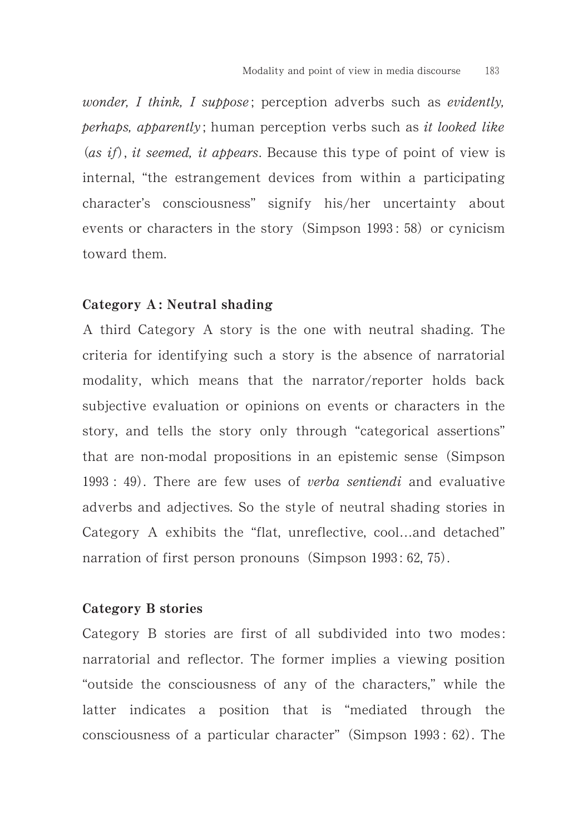wonder, I think, I suppose; perception adverbs such as evidently,  $perhaps, a potentially: human perception verbs such as it looked like$ (as if), it seemed, it appears. Because this type of point of view is internal, "the estrangement devices from within a participating character's consciousness" signify his/her uncertainty about events or characters in the story (Simpson 1993: 58) or cynicism toward them.

#### Category A: Neutral shading

A third Category A story is the one with neutral shading. The criteria for identifying such a story is the absence of narratorial modality, which means that the narrator/reporter holds back subjective evaluation or opinions on events or characters in the story, and tells the story only through "categorical assertions" that are non-modal propositions in an epistemic sense (Simpson  $1993 : 49$ . There are few uses of verba sentiendi and evaluative adverbs and adjectives. So the style of neutral shading stories in Category A exhibits the "flat, unreflective, cool…and detached" narration of first person pronouns (Simpson 1993: 62, 75).

#### Category B stories

Category B stories are first of all subdivided into two modes : narratorial and reflector. The former implies a viewing position "outside the consciousness of any of the characters," while the latter indicates a position that is "mediated through the consciousness of a particular character" (Simpson 1993: 62). The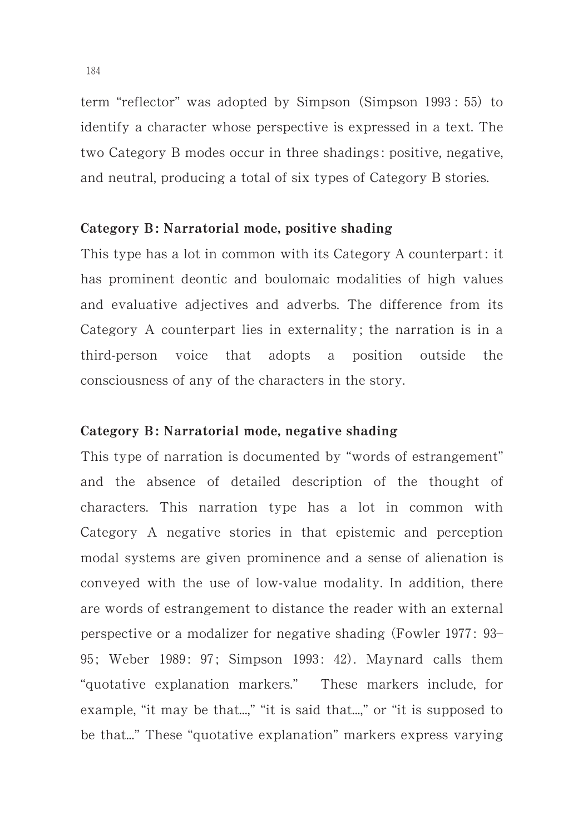term "reflector" was adopted by Simpson (Simpson 1993: 55) to identify a character whose perspective is expressed in a text. The two Category B modes occur in three shadings : positive, negative, and neutral, producing a total of six types of Category B stories.

#### Category B: Narratorial mode, positive shading

This type has a lot in common with its Category A counterpart: it has prominent deontic and boulomaic modalities of high values and evaluative adjectives and adverbs. The difference from its Category A counterpart lies in externality ; the narration is in a third-person voice that adopts a position outside the consciousness of any of the characters in the story.

# Category B: Narratorial mode, negative shading

This type of narration is documented by "words of estrangement" and the absence of detailed description of the thought of characters. This narration type has a lot in common with Category A negative stories in that epistemic and perception modal systems are given prominence and a sense of alienation is conveyed with the use of low-value modality. In addition, there are words of estrangement to distance the reader with an external perspective or a modalizer for negative shading (Fowler 1977: 93-95; Weber 1989: 97; Simpson 1993: 42). Maynard calls them "quotative explanation markers." These markers include, for example, "it may be that...," "it is said that...." or "it is supposed to be that..." These "quotative explanation" markers express varying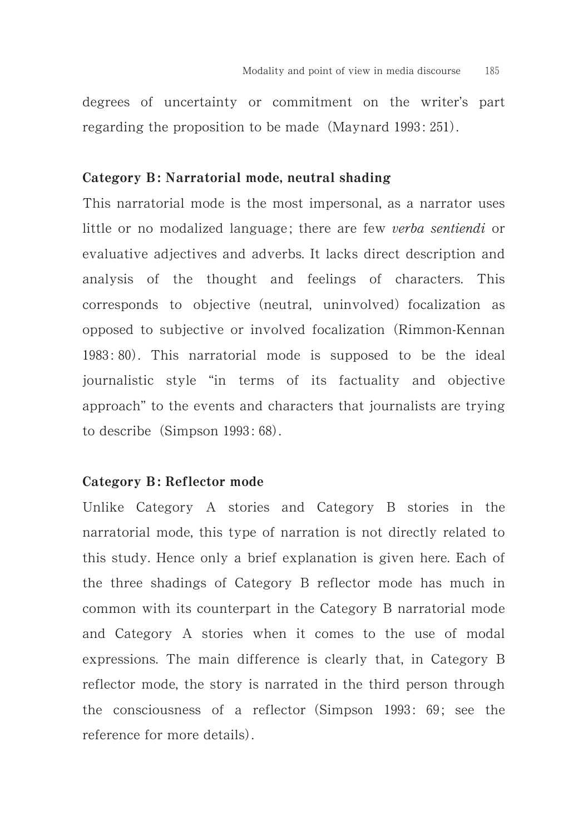degrees of uncertainty or commitment on the writer's part regarding the proposition to be made  $(Maynard 1993: 251)$ .

#### Category B: Narratorial mode, neutral shading

This narratorial mode is the most impersonal, as a narrator uses little or no modalized language; there are few verba sentiendi or evaluative adjectives and adverbs. It lacks direct description and analysis of the thought and feelings of characters. This corresponds to objective (neutral, uninvolved) focalization as opposed to subjective or involved focalization (Rimmon-Kennan 1983: 80). This narratorial mode is supposed to be the ideal journalistic style "in terms of its factuality and objective approach" to the events and characters that journalists are trying to describe  $(Simpson 1993: 68)$ .

# Category B: Reflector mode

Unlike Category A stories and Category B stories in the narratorial mode, this type of narration is not directly related to this study. Hence only a brief explanation is given here. Each of the three shadings of Category B reflector mode has much in common with its counterpart in the Category B narratorial mode and Category A stories when it comes to the use of modal expressions. The main difference is clearly that, in Category B reflector mode, the story is narrated in the third person through the consciousness of a reflector (Simpson 1993: 69; see the reference for more details).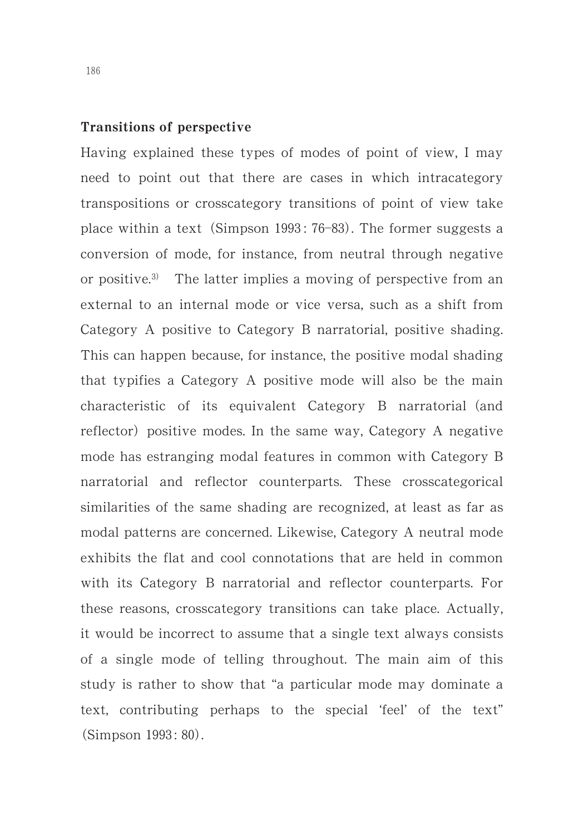# Transitions of perspective

Having explained these types of modes of point of view, I may need to point out that there are cases in which intracategory transpositions or crosscategory transitions of point of view take place within a text (Simpson 1993: 76-83). The former suggests a conversion of mode, for instance, from neutral through negative or positive.<sup>3)</sup> The latter implies a moving of perspective from an external to an internal mode or vice versa, such as a shift from Category A positive to Category B narratorial, positive shading. This can happen because, for instance, the positive modal shading that typifies a Category A positive mode will also be the main characteristic of its equivalent Category B narratorial (and reflector) positive modes. In the same way, Category A negative mode has estranging modal features in common with Category B narratorial and reflector counterparts. These crosscategorical similarities of the same shading are recognized, at least as far as modal patterns are concerned. Likewise, Category A neutral mode exhibits the flat and cool connotations that are held in common with its Category B narratorial and reflector counterparts. For these reasons, crosscategory transitions can take place. Actually, it would be incorrect to assume that a single text always consists of a single mode of telling throughout. The main aim of this study is rather to show that "a particular mode may dominate a text, contributing perhaps to the special 'feel' of the text" (Simpson 1993: 80).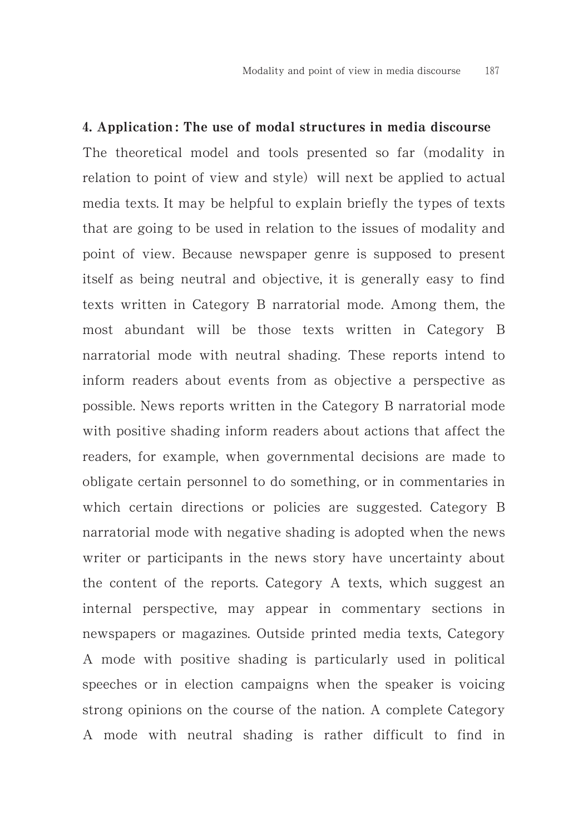#### .. Application : The use of modal structures in media discourse

The theoretical model and tools presented so far (modality in relation to point of view and style) will next be applied to actual media texts. It may be helpful to explain briefly the types of texts that are going to be used in relation to the issues of modality and point of view. Because newspaper genre is supposed to present itself as being neutral and objective, it is generally easy to find texts written in Category B narratorial mode. Among them, the most abundant will be those texts written in Category B narratorial mode with neutral shading. These reports intend to inform readers about events from as objective a perspective as possible. News reports written in the Category B narratorial mode with positive shading inform readers about actions that affect the readers, for example, when governmental decisions are made to obligate certain personnel to do something, or in commentaries in which certain directions or policies are suggested. Category B narratorial mode with negative shading is adopted when the news writer or participants in the news story have uncertainty about the content of the reports. Category A texts, which suggest an internal perspective, may appear in commentary sections in newspapers or magazines. Outside printed media texts, Category A mode with positive shading is particularly used in political speeches or in election campaigns when the speaker is voicing strong opinions on the course of the nation. A complete Category A mode with neutral shading is rather difficult to find in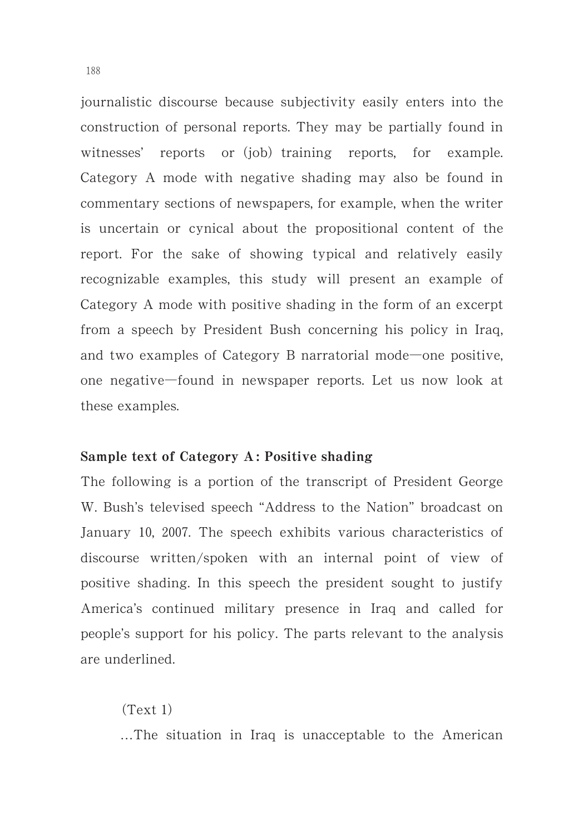journalistic discourse because subjectivity easily enters into the construction of personal reports. They may be partially found in witnesses' reports or (job) training reports, for example. Category A mode with negative shading may also be found in commentary sections of newspapers, for example, when the writer is uncertain or cynical about the propositional content of the report. For the sake of showing typical and relatively easily recognizable examples, this study will present an example of Category A mode with positive shading in the form of an excerpt from a speech by President Bush concerning his policy in Iraq, and two examples of Category B narratorial mode—one positive, one negative-found in newspaper reports. Let us now look at these examples.

#### Sample text of Category A : Positive shading

The following is a portion of the transcript of President George W. Bush's televised speech "Address to the Nation" broadcast on January 10, 2007. The speech exhibits various characteristics of discourse written/spoken with an internal point of view of positive shading. In this speech the president sought to justify America's continued military presence in Iraq and called for people's support for his policy. The parts relevant to the analysis are underlined.

 $(Text 1)$ …The situation in Iraq is unacceptable to the American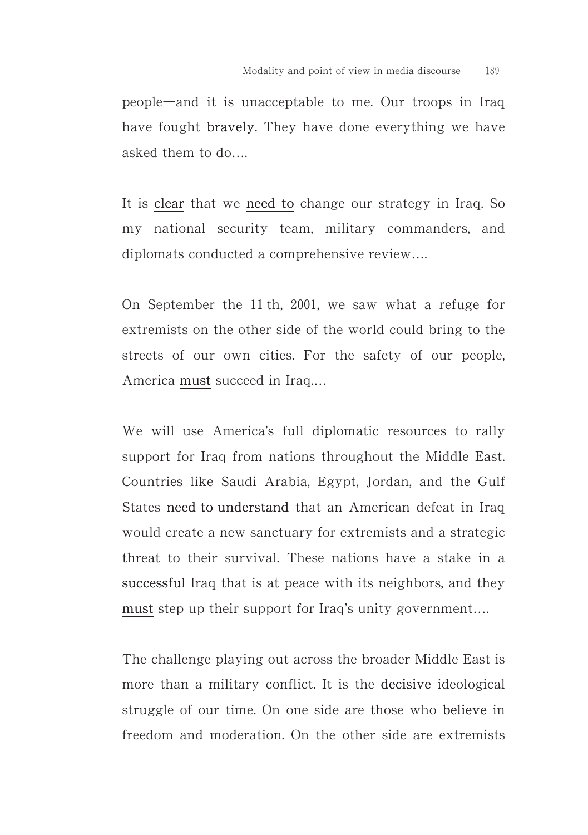people-and it is unacceptable to me. Our troops in Iraq have fought bravely. They have done everything we have asked them to do….

It is clear that we need to change our strategy in Iraq. So my national security team, military commanders, and diplomats conducted a comprehensive review….

On September the  $11$  th,  $2001$ , we saw what a refuge for extremists on the other side of the world could bring to the streets of our own cities. For the safety of our people, America must succeed in Iraq.…

We will use America's full diplomatic resources to rally support for Iraq from nations throughout the Middle East. Countries like Saudi Arabia, Egypt, Jordan, and the Gulf States need to understand that an American defeat in Iraq would create a new sanctuary for extremists and a strategic threat to their survival. These nations have a stake in a successful Iraq that is at peace with its neighbors, and they must step up their support for Iraq's unity government….

The challenge playing out across the broader Middle East is more than a military conflict. It is the decisive ideological struggle of our time. On one side are those who believe in freedom and moderation. On the other side are extremists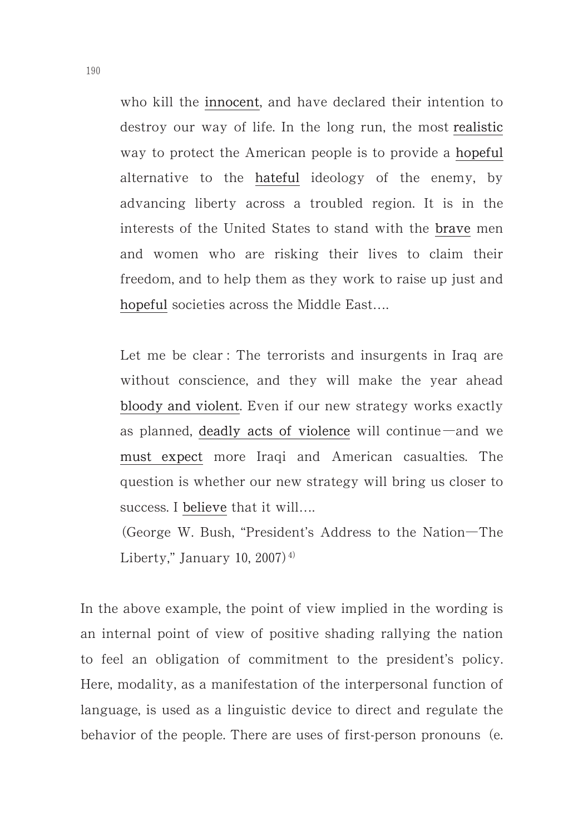who kill the innocent, and have declared their intention to destroy our way of life. In the long run, the most realistic way to protect the American people is to provide a hopeful alternative to the hateful ideology of the enemy, by advancing liberty across a troubled region. It is in the interests of the United States to stand with the brave men and women who are risking their lives to claim their freedom, and to help them as they work to raise up just and hopeful societies across the Middle East....

Let me be clear : The terrorists and insurgents in Iraq are without conscience, and they will make the year ahead bloody and violent. Even if our new strategy works exactly as planned, deadly acts of violence will continue  $-$  and we must expect more Iraqi and American casualties. The question is whether our new strategy will bring us closer to success. I believe that it will....

George W. Bush, "President's Address to the Nation-The Liberty," January 10, 2007)<sup> $4)$ </sup>.

In the above example, the point of view implied in the wording is an internal point of view of positive shading rallying the nation to feel an obligation of commitment to the president's policy. Here, modality, as a manifestation of the interpersonal function of language, is used as a linguistic device to direct and regulate the behavior of the people. There are uses of first-person pronouns (e.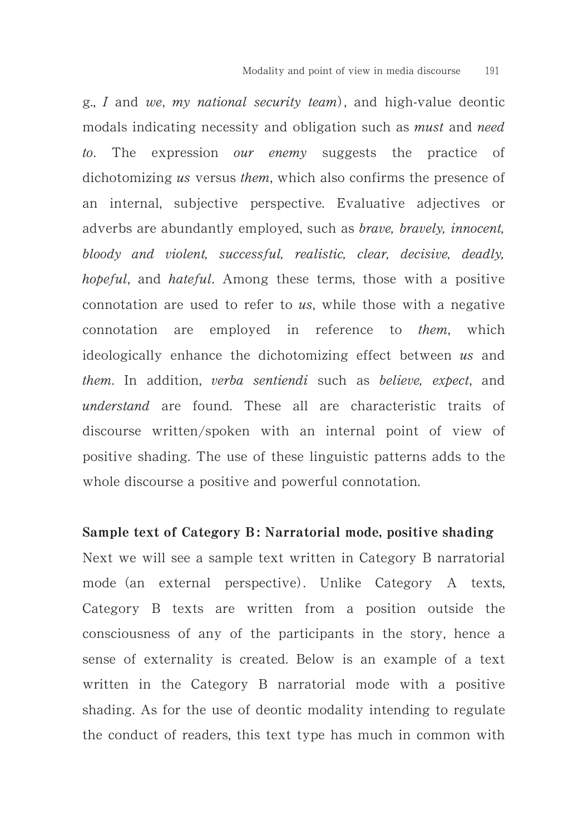g., I and we, my national security team), and high-value deontic modals indicating necessity and obligation such as *must* and *need* to. The expression our enemy suggests the practice of dichotomizing us versus them, which also confirms the presence of an internal, subjective perspective. Evaluative adjectives or adverbs are abundantly employed, such as *brave, bravely, innocent*, bloody and violent, successful, realistic, clear, decisive, deadly, hopeful, and hateful. Among these terms, those with a positive connotation are used to refer to us, while those with a negative connotation are employed in reference to them, which ideologically enhance the dichotomizing effect between us and them. In addition, verba sentiendi such as believe, expect, and understand are found. These all are characteristic traits of discourse written/spoken with an internal point of view of positive shading. The use of these linguistic patterns adds to the whole discourse a positive and powerful connotation.

#### Sample text of Category B: Narratorial mode, positive shading

Next we will see a sample text written in Category B narratorial mode (an external perspective). Unlike Category A texts, Category B texts are written from a position outside the consciousness of any of the participants in the story, hence a sense of externality is created. Below is an example of a text written in the Category B narratorial mode with a positive shading. As for the use of deontic modality intending to regulate the conduct of readers, this text type has much in common with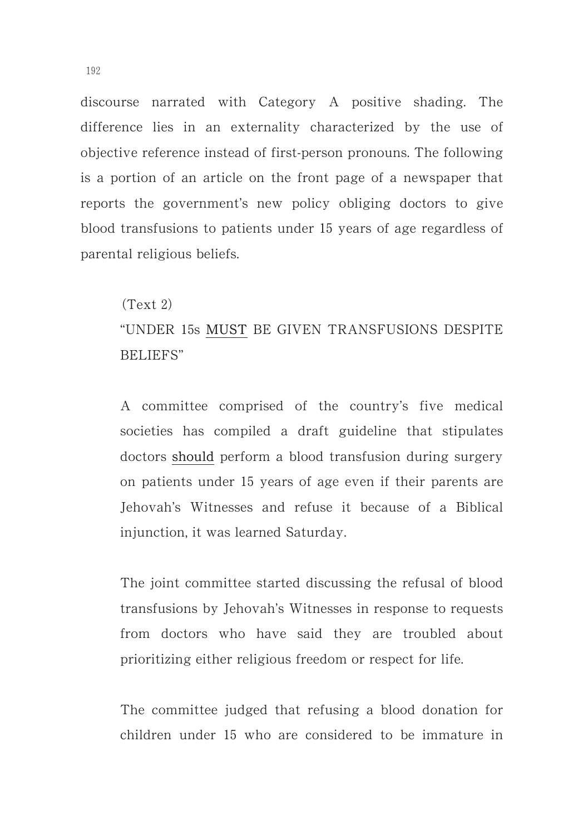discourse narrated with Category A positive shading. The difference lies in an externality characterized by the use of objective reference instead of first-person pronouns. The following is a portion of an article on the front page of a newspaper that reports the government's new policy obliging doctors to give blood transfusions to patients under 15 years of age regardless of parental religious beliefs.

# $(Text 2)$

# "UNDER 15s MUST BE GIVEN TRANSFUSIONS DESPITE BELIEFS"

A committee comprised of the country's five medical societies has compiled a draft guideline that stipulates doctors should perform a blood transfusion during surgery on patients under 15 years of age even if their parents are Jehovah's Witnesses and refuse it because of a Biblical injunction, it was learned Saturday.

The joint committee started discussing the refusal of blood transfusions by Jehovah's Witnesses in response to requests from doctors who have said they are troubled about prioritizing either religious freedom or respect for life.

The committee judged that refusing a blood donation for children under 15 who are considered to be immature in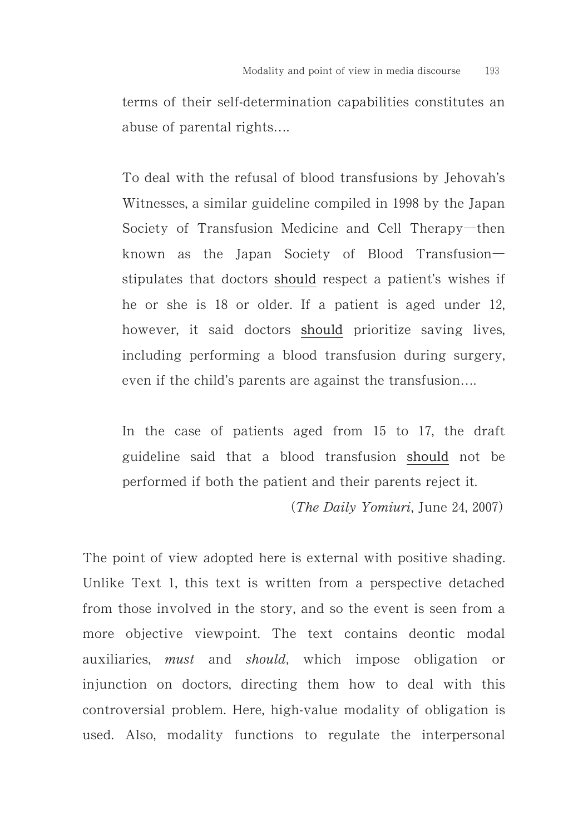terms of their self-determination capabilities constitutes an abuse of parental rights….

To deal with the refusal of blood transfusions by Jehovah's Witnesses, a similar guideline compiled in 1998 by the Japan Society of Transfusion Medicine and Cell Therapy-then known as the Japan Society of Blood Transfusion stipulates that doctors should respect a patient's wishes if he or she is  $18$  or older. If a patient is aged under  $12$ , however, it said doctors should prioritize saving lives, including performing a blood transfusion during surgery, even if the child's parents are against the transfusion….

In the case of patients aged from 15 to 17, the draft guideline said that a blood transfusion should not be performed if both the patient and their parents reject it.

 $(The \textit{Daily Yomiuri}, June 24, 2007)$ 

The point of view adopted here is external with positive shading. Unlike Text 1, this text is written from a perspective detached from those involved in the story, and so the event is seen from a more objective viewpoint. The text contains deontic modal auxiliaries, must and should, which impose obligation or injunction on doctors, directing them how to deal with this controversial problem. Here, high-value modality of obligation is used. Also, modality functions to regulate the interpersonal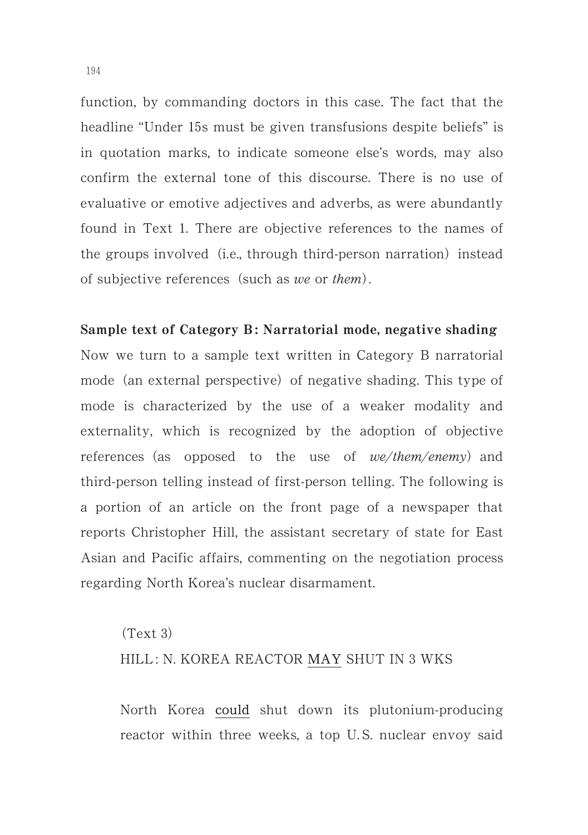function, by commanding doctors in this case. The fact that the headline "Under 15s must be given transfusions despite beliefs" is in quotation marks, to indicate someone else's words, may also confirm the external tone of this discourse. There is no use of evaluative or emotive adjectives and adverbs, as were abundantly found in Text 1. There are objective references to the names of the groups involved (i.e., through third-person narration) instead of subjective references (such as we or them).

#### Sample text of Category B: Narratorial mode, negative shading

Now we turn to a sample text written in Category B narratorial mode (an external perspective) of negative shading. This type of mode is characterized by the use of a weaker modality and externality, which is recognized by the adoption of objective references (as opposed to the use of we/them/enemy) and third-person telling instead of first-person telling. The following is a portion of an article on the front page of a newspaper that reports Christopher Hill, the assistant secretary of state for East Asian and Pacific affairs, commenting on the negotiation process regarding North Korea's nuclear disarmament.

# $(Text 3)$ HILL: N. KOREA REACTOR MAY SHUT IN 3 WKS

North Korea could shut down its plutonium-producing reactor within three weeks, a top U. S. nuclear envoy said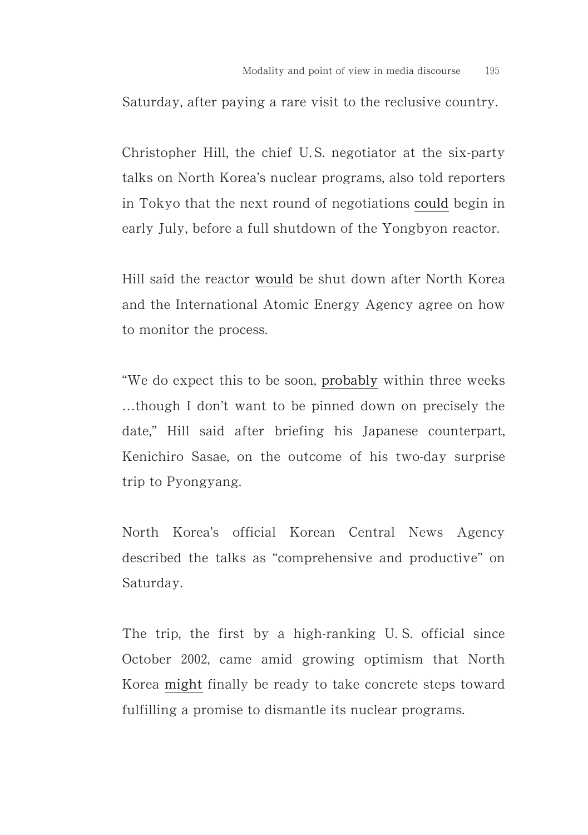Saturday, after paying a rare visit to the reclusive country.

Christopher Hill, the chief U. S. negotiator at the six-party talks on North Korea's nuclear programs, also told reporters in Tokyo that the next round of negotiations could begin in early July, before a full shutdown of the Yongbyon reactor.

Hill said the reactor would be shut down after North Korea and the International Atomic Energy Agency agree on how to monitor the process.

"We do expect this to be soon, probably within three weeks …though I don't want to be pinned down on precisely the date," Hill said after briefing his Japanese counterpart, Kenichiro Sasae, on the outcome of his two-day surprise trip to Pyongyang.

North Korea's official Korean Central News Agency described the talks as "comprehensive and productive" on Saturday.

The trip, the first by a high-ranking U. S. official since October 2002, came amid growing optimism that North Korea might finally be ready to take concrete steps toward fulfilling a promise to dismantle its nuclear programs.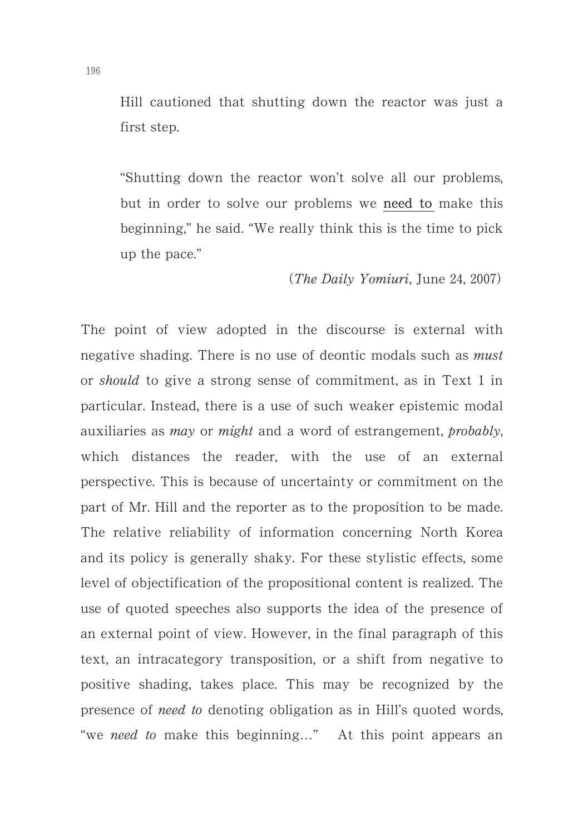Hill cautioned that shutting down the reactor was just a first step.

"Shutting down the reactor won't solve all our problems, but in order to solve our problems we need to make this beginning," he said. "We really think this is the time to pick up the pace."

(The Daily Yomiuri, June 24, 2007)

The point of view adopted in the discourse is external with negative shading. There is no use of deontic modals such as *must* or *should* to give a strong sense of commitment, as in Text 1 in particular. Instead, there is a use of such weaker epistemic modal auxiliaries as may or might and a word of estrangement, probably, which distances the reader, with the use of an external perspective. This is because of uncertainty or commitment on the part of Mr. Hill and the reporter as to the proposition to be made. The relative reliability of information concerning North Korea and its policy is generally shaky. For these stylistic effects, some level of objectification of the propositional content is realized. The use of quoted speeches also supports the idea of the presence of an external point of view. However, in the final paragraph of this text, an intracategory transposition, or a shift from negative to positive shading, takes place. This may be recognized by the presence of need to denoting obligation as in Hill's quoted words, "we need to make this beginning..." At this point appears an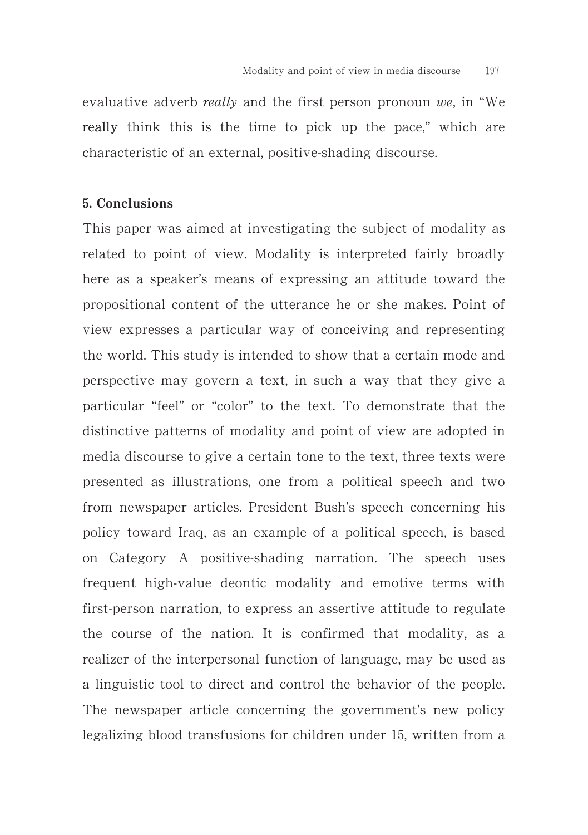evaluative adverb *really* and the first person pronoun we, in "We really think this is the time to pick up the pace," which are characteristic of an external, positive-shading discourse.

### 5. Conclusions

This paper was aimed at investigating the subject of modality as related to point of view. Modality is interpreted fairly broadly here as a speaker's means of expressing an attitude toward the propositional content of the utterance he or she makes. Point of view expresses a particular way of conceiving and representing the world. This study is intended to show that a certain mode and perspective may govern a text, in such a way that they give a particular "feel" or "color" to the text. To demonstrate that the distinctive patterns of modality and point of view are adopted in media discourse to give a certain tone to the text, three texts were presented as illustrations, one from a political speech and two from newspaper articles. President Bush's speech concerning his policy toward Iraq, as an example of a political speech, is based on Category A positive-shading narration. The speech uses frequent high-value deontic modality and emotive terms with first-person narration, to express an assertive attitude to regulate the course of the nation. It is confirmed that modality, as a realizer of the interpersonal function of language, may be used as a linguistic tool to direct and control the behavior of the people. The newspaper article concerning the government's new policy legalizing blood transfusions for children under 15, written from a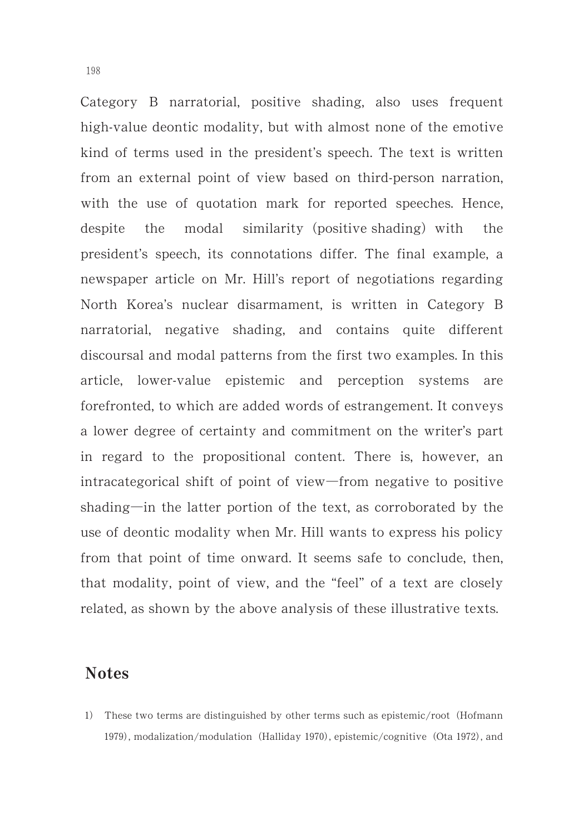Category B narratorial, positive shading, also uses frequent high-value deontic modality, but with almost none of the emotive kind of terms used in the president's speech. The text is written from an external point of view based on third-person narration, with the use of quotation mark for reported speeches. Hence, despite the modal similarity (positive-shading) with the president's speech, its connotations differ. The final example, a newspaper article on Mr. Hill's report of negotiations regarding North Korea's nuclear disarmament, is written in Category B narratorial, negative shading, and contains quite different discoursal and modal patterns from the first two examples. In this article, lower-value epistemic and perception systems are forefronted, to which are added words of estrangement. It conveys a lower degree of certainty and commitment on the writer's part in regard to the propositional content. There is, however, an intracategorical shift of point of view-from negative to positive shading-in the latter portion of the text, as corroborated by the use of deontic modality when Mr. Hill wants to express his policy from that point of time onward. It seems safe to conclude, then, that modality, point of view, and the "feel" of a text are closely related, as shown by the above analysis of these illustrative texts.

# Notes

1) These two terms are distinguished by other terms such as epistemic/root (Hofmann 1979), modalization/modulation (Halliday 1970), epistemic/cognitive (Ota 1972), and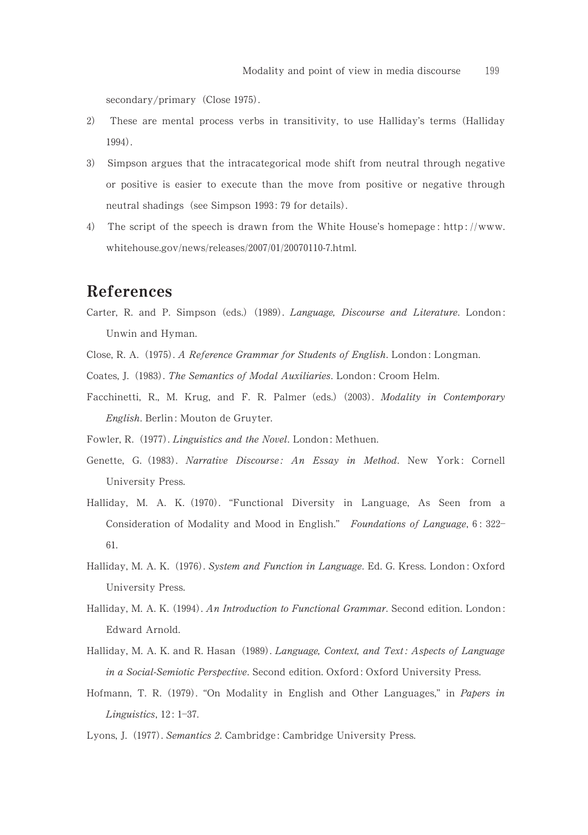secondary/primary (Close 1975).

- 2) ) These are mental process verbs in transitivity, to use Halliday's terms (Halliday 1994).
- 3) Simpson argues that the intracategorical mode shift from neutral through negative or positive is easier to execute than the move from positive or negative through neutral shadings (see Simpson 1993: 79 for details).
- 4) The script of the speech is drawn from the White House's homepage:  $\frac{htp}{t}/\text{www.}$ whitehouse.gov/news/releases/2007/01/20070110-7.html.

# References

- Carter, R. and P. Simpson (eds.) (1989). Language, Discourse and Literature. London: Unwin and Hyman.
- Close, R. A. (1975). A Reference Grammar for Students of English. London: Longman.
- Coates, J. (1983). The Semantics of Modal Auxiliaries. London: Croom Helm.
- Facchinetti, R., M. Krug, and F. R. Palmer (eds.) (2003). Modality in Contemporary English. Berlin : Mouton de Gruyter.
- Fowler, R. (1977). Linguistics and the Novel. London: Methuen.
- Genette, G. (1983). Narrative Discourse: An Essay in Method. New York: Cornell University Press.
- Halliday, M. A. K. (1970). "Functional Diversity in Language, As Seen from a Consideration of Modality and Mood in English." Foundations of Language, 6: 322-61.
- Halliday, M. A. K. (1976). System and Function in Language. Ed. G. Kress. London: Oxford University Press.
- Halliday, M. A. K. (1994). An Introduction to Functional Grammar. Second edition. London: Edward Arnold.
- Halliday, M. A. K. and R. Hasan (1989). Language, Context, and Text: Aspects of Language in a Social-Semiotic Perspective. Second edition. Oxford: Oxford University Press.
- Hofmann, T. R. (1979). "On Modality in English and Other Languages," in Papers in Linguistics,  $12: 1-37$ .
- Lyons, J. (1977). Semantics 2. Cambridge: Cambridge University Press.